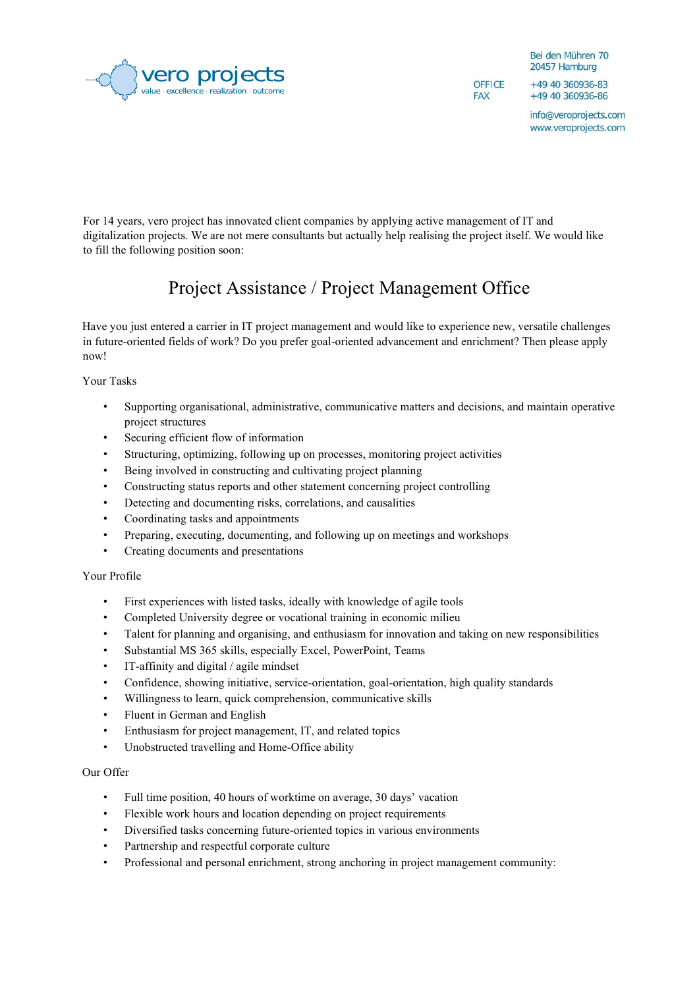

Bei den Mühren 70 20457 Hamburg

**OFFICE FAX** 

+49 40 360936-83 +49 40 360936-86

info@veroprojects.com www.veroprojects.com

For 14 years, vero project has innovated client companies by applying active management of IT and digitalization projects. We are not mere consultants but actually help realising the project itself. We would like to fill the following position soon:

## Project Assistance / Project Management Office

Have you just entered a carrier in IT project management and would like to experience new, versatile challenges in future-oriented fields of work? Do you prefer goal-oriented advancement and enrichment? Then please apply now!

Your Tasks

- Supporting organisational, administrative, communicative matters and decisions, and maintain operative project structures
- Securing efficient flow of information
- Structuring, optimizing, following up on processes, monitoring project activities
- Being involved in constructing and cultivating project planning
- Constructing status reports and other statement concerning project controlling
- Detecting and documenting risks, correlations, and causalities
- Coordinating tasks and appointments
- Preparing, executing, documenting, and following up on meetings and workshops
- Creating documents and presentations

## Your Profile

- First experiences with listed tasks, ideally with knowledge of agile tools
- Completed University degree or vocational training in economic milieu
- Talent for planning and organising, and enthusiasm for innovation and taking on new responsibilities
- Substantial MS 365 skills, especially Excel, PowerPoint, Teams
- IT-affinity and digital / agile mindset
- Confidence, showing initiative, service-orientation, goal-orientation, high quality standards
- Willingness to learn, quick comprehension, communicative skills
- Fluent in German and English
- Enthusiasm for project management, IT, and related topics
- Unobstructed travelling and Home-Office ability

## Our Offer

- Full time position, 40 hours of worktime on average, 30 days' vacation
- Flexible work hours and location depending on project requirements
- Diversified tasks concerning future-oriented topics in various environments
- Partnership and respectful corporate culture
- Professional and personal enrichment, strong anchoring in project management community: